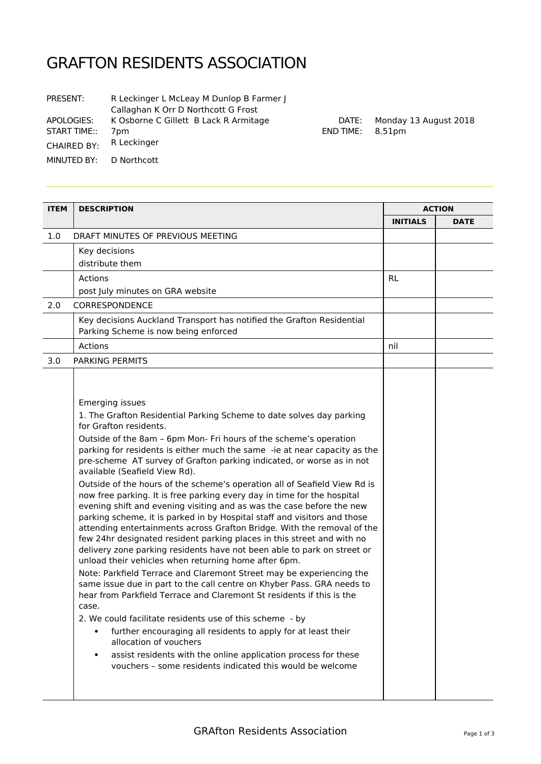## GRAFTON RESIDENTS ASSOCIATION

| PRESENT:                | R Leckinger L McLeay M Dunlop B Farmer J<br>Callaghan K Orr D Northcott G Frost |
|-------------------------|---------------------------------------------------------------------------------|
| APOLOGIES:              | K Osborne C Gillett B Lack R Armitage                                           |
| <b>START TIME::</b>     | 7pm                                                                             |
| <b>CHAIRED BY:</b>      | R Leckinger                                                                     |
| MINUTED BY: D Northcott |                                                                                 |
|                         |                                                                                 |

DATE: Monday 13 August 2018 END TIME: 8.51pm

| <b>ITEM</b> | <b>DESCRIPTION</b>                                                                                                                                                                                                                                                                                                                                                                                                                                                                                                                                                                                                                                                                                                                                                                                                                                                                                                         |                 | <b>ACTION</b> |  |
|-------------|----------------------------------------------------------------------------------------------------------------------------------------------------------------------------------------------------------------------------------------------------------------------------------------------------------------------------------------------------------------------------------------------------------------------------------------------------------------------------------------------------------------------------------------------------------------------------------------------------------------------------------------------------------------------------------------------------------------------------------------------------------------------------------------------------------------------------------------------------------------------------------------------------------------------------|-----------------|---------------|--|
|             |                                                                                                                                                                                                                                                                                                                                                                                                                                                                                                                                                                                                                                                                                                                                                                                                                                                                                                                            | <b>INITIALS</b> | <b>DATE</b>   |  |
| 1.0         | DRAFT MINUTES OF PREVIOUS MEETING                                                                                                                                                                                                                                                                                                                                                                                                                                                                                                                                                                                                                                                                                                                                                                                                                                                                                          |                 |               |  |
|             | Key decisions                                                                                                                                                                                                                                                                                                                                                                                                                                                                                                                                                                                                                                                                                                                                                                                                                                                                                                              |                 |               |  |
|             | distribute them                                                                                                                                                                                                                                                                                                                                                                                                                                                                                                                                                                                                                                                                                                                                                                                                                                                                                                            |                 |               |  |
|             | Actions                                                                                                                                                                                                                                                                                                                                                                                                                                                                                                                                                                                                                                                                                                                                                                                                                                                                                                                    | <b>RL</b>       |               |  |
|             | post July minutes on GRA website                                                                                                                                                                                                                                                                                                                                                                                                                                                                                                                                                                                                                                                                                                                                                                                                                                                                                           |                 |               |  |
| 2.0         | CORRESPONDENCE                                                                                                                                                                                                                                                                                                                                                                                                                                                                                                                                                                                                                                                                                                                                                                                                                                                                                                             |                 |               |  |
|             | Key decisions Auckland Transport has notified the Grafton Residential<br>Parking Scheme is now being enforced                                                                                                                                                                                                                                                                                                                                                                                                                                                                                                                                                                                                                                                                                                                                                                                                              |                 |               |  |
|             | Actions                                                                                                                                                                                                                                                                                                                                                                                                                                                                                                                                                                                                                                                                                                                                                                                                                                                                                                                    | nil             |               |  |
| 3.0         | PARKING PERMITS                                                                                                                                                                                                                                                                                                                                                                                                                                                                                                                                                                                                                                                                                                                                                                                                                                                                                                            |                 |               |  |
|             | Emerging issues<br>1. The Grafton Residential Parking Scheme to date solves day parking<br>for Grafton residents.<br>Outside of the 8am - 6pm Mon- Fri hours of the scheme's operation<br>parking for residents is either much the same -ie at near capacity as the<br>pre-scheme AT survey of Grafton parking indicated, or worse as in not<br>available (Seafield View Rd).<br>Outside of the hours of the scheme's operation all of Seafield View Rd is<br>now free parking. It is free parking every day in time for the hospital<br>evening shift and evening visiting and as was the case before the new<br>parking scheme, it is parked in by Hospital staff and visitors and those<br>attending entertainments across Grafton Bridge. With the removal of the<br>few 24hr designated resident parking places in this street and with no<br>delivery zone parking residents have not been able to park on street or |                 |               |  |
|             | unload their vehicles when returning home after 6pm.<br>Note: Parkfield Terrace and Claremont Street may be experiencing the<br>same issue due in part to the call centre on Khyber Pass. GRA needs to<br>hear from Parkfield Terrace and Claremont St residents if this is the<br>case<br>2. We could facilitate residents use of this scheme - by<br>further encouraging all residents to apply for at least their<br>allocation of vouchers<br>assist residents with the online application process for these<br>$\bullet$<br>vouchers - some residents indicated this would be welcome                                                                                                                                                                                                                                                                                                                                 |                 |               |  |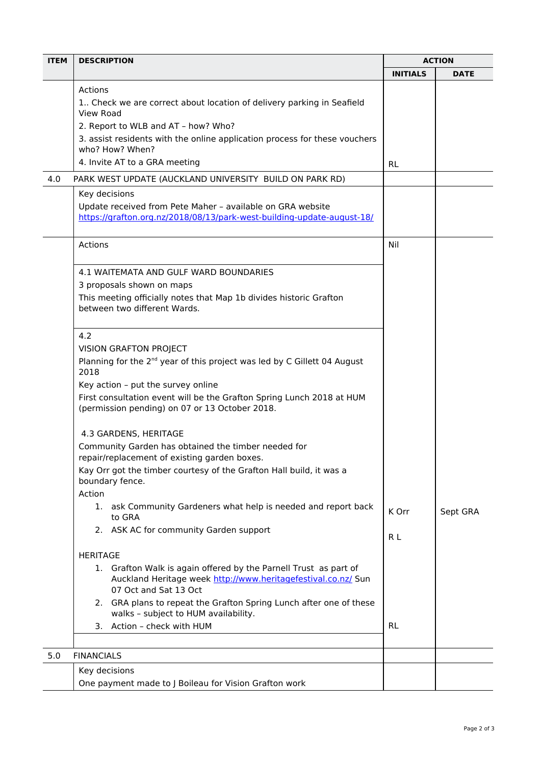| <b>ITEM</b> | <b>DESCRIPTION</b>                                                                                                                                                         |           | <b>ACTION</b> |  |
|-------------|----------------------------------------------------------------------------------------------------------------------------------------------------------------------------|-----------|---------------|--|
|             |                                                                                                                                                                            |           | <b>DATE</b>   |  |
|             | Actions                                                                                                                                                                    |           |               |  |
|             | 1. Check we are correct about location of delivery parking in Seafield                                                                                                     |           |               |  |
|             | View Road                                                                                                                                                                  |           |               |  |
|             | 2. Report to WLB and AT - how? Who?                                                                                                                                        |           |               |  |
|             | 3. assist residents with the online application process for these vouchers<br>who? How? When?                                                                              |           |               |  |
|             | 4. Invite AT to a GRA meeting                                                                                                                                              | <b>RL</b> |               |  |
| 4.0         | PARK WEST UPDATE (AUCKLAND UNIVERSITY BUILD ON PARK RD)                                                                                                                    |           |               |  |
|             | Key decisions                                                                                                                                                              |           |               |  |
|             | Update received from Pete Maher - available on GRA website<br>https://grafton.org.nz/2018/08/13/park-west-building-update-august-18/                                       |           |               |  |
|             | Actions                                                                                                                                                                    | Nil       |               |  |
|             | 4.1 WAITEMATA AND GULF WARD BOUNDARIES                                                                                                                                     |           |               |  |
|             | 3 proposals shown on maps                                                                                                                                                  |           |               |  |
|             | This meeting officially notes that Map 1b divides historic Grafton                                                                                                         |           |               |  |
|             | between two different Wards.                                                                                                                                               |           |               |  |
|             | 4.2                                                                                                                                                                        |           |               |  |
|             | <b>VISION GRAFTON PROJECT</b>                                                                                                                                              |           |               |  |
|             | Planning for the 2 <sup>nd</sup> year of this project was led by C Gillett 04 August                                                                                       |           |               |  |
|             | 2018                                                                                                                                                                       |           |               |  |
|             | Key action - put the survey online                                                                                                                                         |           |               |  |
|             | First consultation event will be the Grafton Spring Lunch 2018 at HUM<br>(permission pending) on 07 or 13 October 2018.                                                    |           |               |  |
|             | 4.3 GARDENS, HERITAGE                                                                                                                                                      |           |               |  |
|             | Community Garden has obtained the timber needed for<br>repair/replacement of existing garden boxes.<br>Kay Orr got the timber courtesy of the Grafton Hall build, it was a |           |               |  |
|             |                                                                                                                                                                            |           |               |  |
|             | boundary fence.                                                                                                                                                            |           |               |  |
|             | Action                                                                                                                                                                     |           |               |  |
|             | ask Community Gardeners what help is needed and report back<br>1.<br>to GRA                                                                                                | K Orr     | Sept GRA      |  |
|             | 2. ASK AC for community Garden support                                                                                                                                     | R L       |               |  |
|             | <b>HERITAGE</b>                                                                                                                                                            |           |               |  |
|             | 1. Grafton Walk is again offered by the Parnell Trust as part of                                                                                                           |           |               |  |
|             | Auckland Heritage week http://www.heritagefestival.co.nz/ Sun<br>07 Oct and Sat 13 Oct                                                                                     |           |               |  |
|             | 2. GRA plans to repeat the Grafton Spring Lunch after one of these<br>walks - subject to HUM availability.                                                                 |           |               |  |
|             | Action - check with HUM<br>3.                                                                                                                                              | <b>RL</b> |               |  |
|             |                                                                                                                                                                            |           |               |  |
| 5.0         | <b>FINANCIALS</b>                                                                                                                                                          |           |               |  |
|             | Key decisions                                                                                                                                                              |           |               |  |
|             | One payment made to J Boileau for Vision Grafton work                                                                                                                      |           |               |  |